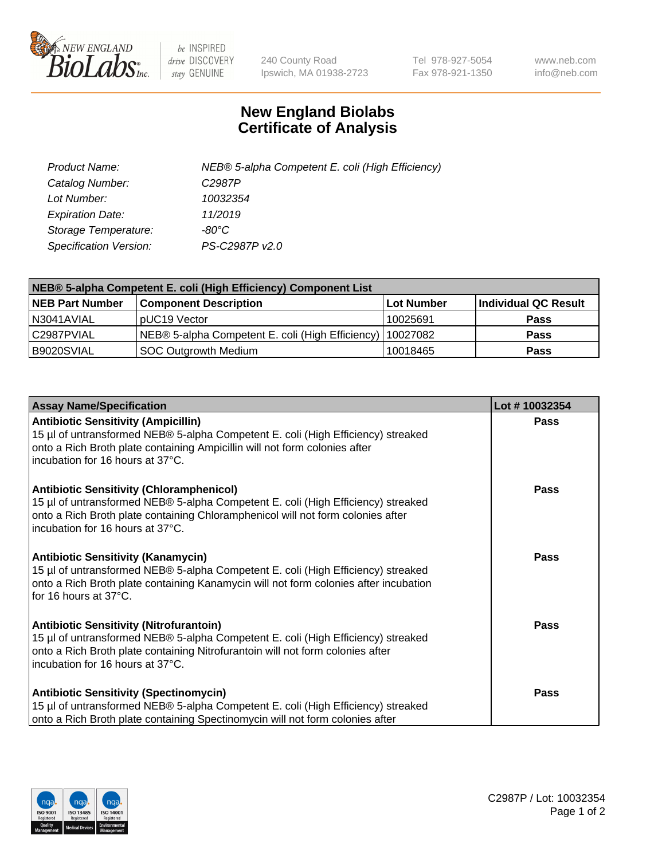

 $be$  INSPIRED drive DISCOVERY stay GENUINE

240 County Road Ipswich, MA 01938-2723 Tel 978-927-5054 Fax 978-921-1350 www.neb.com info@neb.com

## **New England Biolabs Certificate of Analysis**

| Product Name:           | NEB® 5-alpha Competent E. coli (High Efficiency) |
|-------------------------|--------------------------------------------------|
| Catalog Number:         | C <sub>2987</sub> P                              |
| Lot Number:             | 10032354                                         |
| <b>Expiration Date:</b> | 11/2019                                          |
| Storage Temperature:    | -80°C                                            |
| Specification Version:  | PS-C2987P v2.0                                   |

| NEB® 5-alpha Competent E. coli (High Efficiency) Component List |                                                  |            |                      |  |
|-----------------------------------------------------------------|--------------------------------------------------|------------|----------------------|--|
| <b>NEB Part Number</b>                                          | <b>Component Description</b>                     | Lot Number | Individual QC Result |  |
| N3041AVIAL                                                      | pUC19 Vector                                     | 10025691   | <b>Pass</b>          |  |
| C2987PVIAL                                                      | NEB® 5-alpha Competent E. coli (High Efficiency) | 10027082   | <b>Pass</b>          |  |
| B9020SVIAL                                                      | <b>SOC Outgrowth Medium</b>                      | 10018465   | <b>Pass</b>          |  |

| <b>Assay Name/Specification</b>                                                                                                                                                                                                                            | Lot #10032354 |
|------------------------------------------------------------------------------------------------------------------------------------------------------------------------------------------------------------------------------------------------------------|---------------|
| <b>Antibiotic Sensitivity (Ampicillin)</b><br>15 µl of untransformed NEB® 5-alpha Competent E. coli (High Efficiency) streaked<br>onto a Rich Broth plate containing Ampicillin will not form colonies after<br>incubation for 16 hours at 37°C.           | <b>Pass</b>   |
| <b>Antibiotic Sensitivity (Chloramphenicol)</b><br>15 µl of untransformed NEB® 5-alpha Competent E. coli (High Efficiency) streaked<br>onto a Rich Broth plate containing Chloramphenicol will not form colonies after<br>incubation for 16 hours at 37°C. | <b>Pass</b>   |
| <b>Antibiotic Sensitivity (Kanamycin)</b><br>15 µl of untransformed NEB® 5-alpha Competent E. coli (High Efficiency) streaked<br>onto a Rich Broth plate containing Kanamycin will not form colonies after incubation<br>for 16 hours at 37°C.             | Pass          |
| <b>Antibiotic Sensitivity (Nitrofurantoin)</b><br>15 µl of untransformed NEB® 5-alpha Competent E. coli (High Efficiency) streaked<br>onto a Rich Broth plate containing Nitrofurantoin will not form colonies after<br>incubation for 16 hours at 37°C.   | Pass          |
| <b>Antibiotic Sensitivity (Spectinomycin)</b><br>15 µl of untransformed NEB® 5-alpha Competent E. coli (High Efficiency) streaked<br>onto a Rich Broth plate containing Spectinomycin will not form colonies after                                         | Pass          |